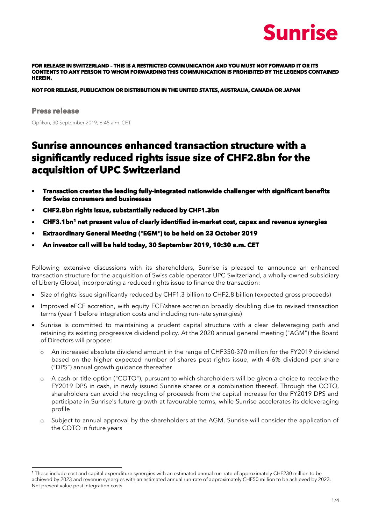

**FOR RELEASE IN SWITZERLAND – THIS IS A RESTRICTED COMMUNICATION AND YOU MUST NOT FORWARD IT OR ITS CONTENTS TO ANY PERSON TO WHOM FORWARDING THIS COMMUNICATION IS PROHIBITED BY THE LEGENDS CONTAINED HEREIN.** 

**NOT FOR RELEASE, PUBLICATION OR DISTRIBUTION IN THE UNITED STATES, AUSTRALIA, CANADA OR JAPAN** 

#### **Press release**

-

Opfikon, 30 September 2019; 6:45 a.m. CET

### **Sunrise announces enhanced transaction structure with a significantly reduced rights issue size of CHF2.8bn for the acquisition of UPC Switzerland**

- **Transaction creates the leading fully-integrated nationwide challenger with significant benefits for Swiss consumers and businesses**
- **CHF2.8bn rights issue, substantially reduced by CHF1.3bn**
- **CHF3.1bn<sup>1</sup> net present value of clearly identified in-market cost, capex and revenue synergies**
- **Extraordinary General Meeting (**"**EGM**"**) to be held on 23 October 2019**
- **An investor call will be held today, 30 September 2019, 10:30 a.m. CET**

Following extensive discussions with its shareholders, Sunrise is pleased to announce an enhanced transaction structure for the acquisition of Swiss cable operator UPC Switzerland, a wholly-owned subsidiary of Liberty Global, incorporating a reduced rights issue to finance the transaction:

- Size of rights issue significantly reduced by CHF1.3 billion to CHF2.8 billion (expected gross proceeds)
- Improved eFCF accretion, with equity FCF/share accretion broadly doubling due to revised transaction terms (year 1 before integration costs and including run-rate synergies)
- Sunrise is committed to maintaining a prudent capital structure with a clear deleveraging path and retaining its existing progressive dividend policy. At the 2020 annual general meeting ("AGM") the Board of Directors will propose:
	- o An increased absolute dividend amount in the range of CHF350-370 million for the FY2019 dividend based on the higher expected number of shares post rights issue, with 4-6% dividend per share ("DPS") annual growth guidance thereafter
	- o A cash-or-title-option ("COTO"), pursuant to which shareholders will be given a choice to receive the FY2019 DPS in cash, in newly issued Sunrise shares or a combination thereof. Through the COTO, shareholders can avoid the recycling of proceeds from the capital increase for the FY2019 DPS and participate in Sunrise's future growth at favourable terms, while Sunrise accelerates its deleveraging profile
	- o Subject to annual approval by the shareholders at the AGM, Sunrise will consider the application of the COTO in future years

<sup>1</sup> These include cost and capital expenditure synergies with an estimated annual run-rate of approximately CHF230 million to be achieved by 2023 and revenue synergies with an estimated annual run-rate of approximately CHF50 million to be achieved by 2023. Net present value post integration costs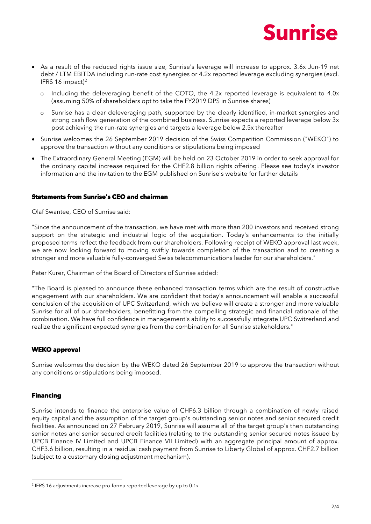## **Sunrise**

- As a result of the reduced rights issue size, Sunrise's leverage will increase to approx. 3.6x Jun-19 net debt / LTM EBITDA including run-rate cost synergies or 4.2x reported leverage excluding synergies (excl. IFRS 16 impact) 2
	- o Including the deleveraging benefit of the COTO, the 4.2x reported leverage is equivalent to 4.0x (assuming 50% of shareholders opt to take the FY2019 DPS in Sunrise shares)
	- o Sunrise has a clear deleveraging path, supported by the clearly identified, in-market synergies and strong cash flow generation of the combined business. Sunrise expects a reported leverage below 3x post achieving the run-rate synergies and targets a leverage below 2.5x thereafter
- Sunrise welcomes the 26 September 2019 decision of the Swiss Competition Commission ("WEKO") to approve the transaction without any conditions or stipulations being imposed
- The Extraordinary General Meeting (EGM) will be held on 23 October 2019 in order to seek approval for the ordinary capital increase required for the CHF2.8 billion rights offering. Please see today's investor information and the invitation to the EGM published on Sunrise's website for further details

#### **Statements from Sunrise's CEO and chairman**

Olaf Swantee, CEO of Sunrise said:

"Since the announcement of the transaction, we have met with more than 200 investors and received strong support on the strategic and industrial logic of the acquisition. Today's enhancements to the initially proposed terms reflect the feedback from our shareholders. Following receipt of WEKO approval last week, we are now looking forward to moving swiftly towards completion of the transaction and to creating a stronger and more valuable fully-converged Swiss telecommunications leader for our shareholders."

Peter Kurer, Chairman of the Board of Directors of Sunrise added:

"The Board is pleased to announce these enhanced transaction terms which are the result of constructive engagement with our shareholders. We are confident that today's announcement will enable a successful conclusion of the acquisition of UPC Switzerland, which we believe will create a stronger and more valuable Sunrise for all of our shareholders, benefitting from the compelling strategic and financial rationale of the combination. We have full confidence in management's ability to successfully integrate UPC Switzerland and realize the significant expected synergies from the combination for all Sunrise stakeholders."

### **WEKO approval**

Sunrise welcomes the decision by the WEKO dated 26 September 2019 to approve the transaction without any conditions or stipulations being imposed.

#### **Financing**

-

Sunrise intends to finance the enterprise value of CHF6.3 billion through a combination of newly raised equity capital and the assumption of the target group's outstanding senior notes and senior secured credit facilities. As announced on 27 February 2019, Sunrise will assume all of the target group's then outstanding senior notes and senior secured credit facilities (relating to the outstanding senior secured notes issued by UPCB Finance IV Limited and UPCB Finance VII Limited) with an aggregate principal amount of approx. CHF3.6 billion, resulting in a residual cash payment from Sunrise to Liberty Global of approx. CHF2.7 billion (subject to a customary closing adjustment mechanism).

<sup>2</sup> IFRS 16 adjustments increase pro-forma reported leverage by up to 0.1x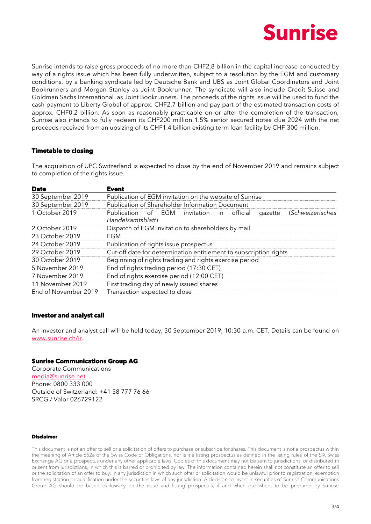

Sunrise intends to raise gross proceeds of no more than CHF2.8 billion in the capital increase conducted by way of a rights issue which has been fully underwritten, subject to a resolution by the EGM and customary conditions, by a banking syndicate led by Deutsche Bank and UBS as Joint Global Coordinators and Joint Bookrunners and Morgan Stanley as Joint Bookrunner. The syndicate will also include Credit Suisse and Goldman Sachs International as Joint Bookrunners. The proceeds of the rights issue will be used to fund the cash payment to Liberty Global of approx. CHF2.7 billion and pay part of the estimated transaction costs of approx. CHF0.2 billion. As soon as reasonably practicable on or after the completion of the transaction, Sunrise also intends to fully redeem its CHF200 million 1.5% senior secured notes due 2024 with the net proceeds received from an upsizing of its CHF1.4 billion existing term loan facility by CHF 300 million.

#### **Timetable to closing**

The acquisition of UPC Switzerland is expected to close by the end of November 2019 and remains subject to completion of the rights issue.

| <b>Date</b>          | <b>Event</b>                                                                                        |
|----------------------|-----------------------------------------------------------------------------------------------------|
| 30 September 2019    | Publication of EGM invitation on the website of Sunrise                                             |
| 30 September 2019    | Publication of Shareholder Information Document                                                     |
| 1 October 2019       | invitation in official<br>(Schweizerisches<br>Publication<br>of EGM<br>gazette<br>Handelsamtsblatt) |
| 2 October 2019       | Dispatch of EGM invitation to shareholders by mail                                                  |
| 23 October 2019      | EGM                                                                                                 |
| 24 October 2019      | Publication of rights issue prospectus                                                              |
| 29 October 2019      | Cut-off date for determination entitlement to subscription rights                                   |
| 30 October 2019      | Beginning of rights trading and rights exercise period                                              |
| 5 November 2019      | End of rights trading period (17:30 CET)                                                            |
| 7 November 2019      | End of rights exercise period (12:00 CET)                                                           |
| 11 November 2019     | First trading day of newly issued shares                                                            |
| End of November 2019 | Transaction expected to close                                                                       |

#### **Investor and analyst call**

An investor and analyst call will be held today, 30 September 2019, 10:30 a.m. CET. Details can be found on [www.sunrise.ch/ir.](http://www.sunrise.ch/ir)

#### **Sunrise Communications Group AG**

Corporate Communications [media@sunrise.net](mailto:media@sunrise.net) Phone: 0800 333 000 Outside of Switzerland: +41 58 777 76 66 SRCG / Valor 026729122

#### **Disclaimer**

This document is not an offer to sell or a solicitation of offers to purchase or subscribe for shares. This document is not a prospectus within the meaning of Article 652a of the Swiss Code of Obligations, nor is it a listing prospectus as defined in the listing rules of the SIX Swiss Exchange AG or a prospectus under any other applicable laws. Copies of this document may not be sent to jurisdictions, or distributed in or sent from jurisdictions, in which this is barred or prohibited by law. The information contained herein shall not constitute an offer to sell or the solicitation of an offer to buy, in any jurisdiction in which such offer or solicitation would be unlawful prior to registration, exemption from registration or qualification under the securities laws of any jurisdiction. A decision to invest in securities of Sunrise Communications Group AG should be based exclusively on the issue and listing prospectus, if and when published, to be prepared by Sunrise